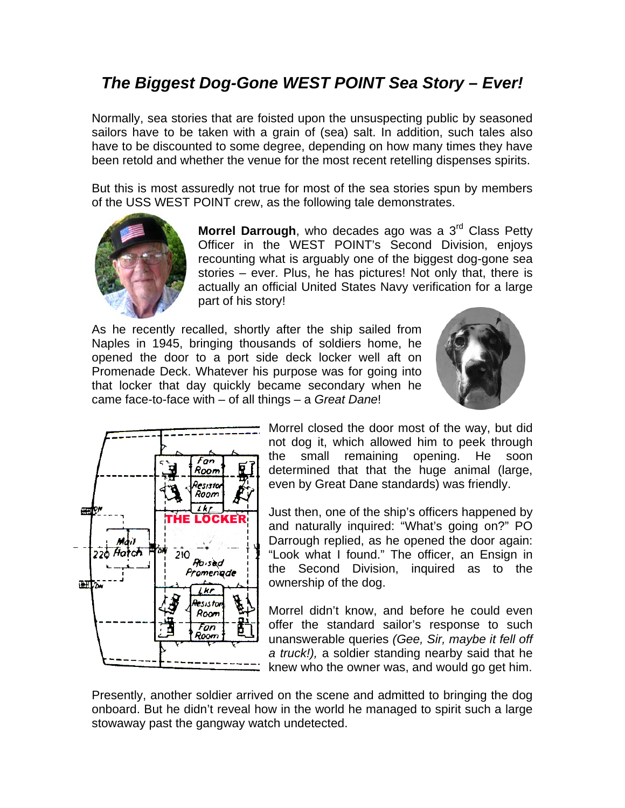## *The Biggest Dog-Gone WEST POINT Sea Story – Ever!*

Normally, sea stories that are foisted upon the unsuspecting public by seasoned sailors have to be taken with a grain of (sea) salt. In addition, such tales also have to be discounted to some degree, depending on how many times they have been retold and whether the venue for the most recent retelling dispenses spirits.

But this is most assuredly not true for most of the sea stories spun by members of the USS WEST POINT crew, as the following tale demonstrates.



**Morrel Darrough**, who decades ago was a 3<sup>rd</sup> Class Petty Officer in the WEST POINT's Second Division, enjoys recounting what is arguably one of the biggest dog-gone sea stories – ever. Plus, he has pictures! Not only that, there is actually an official United States Navy verification for a large part of his story!

As he recently recalled, shortly after the ship sailed from Naples in 1945, bringing thousands of soldiers home, he opened the door to a port side deck locker well aft on Promenade Deck. Whatever his purpose was for going into that locker that day quickly became secondary when he came face-to-face with – of all things – a *Great Dane*!





Morrel closed the door most of the way, but did not dog it, which allowed him to peek through the small remaining opening. He soon determined that that the huge animal (large, even by Great Dane standards) was friendly.

Just then, one of the ship's officers happened by and naturally inquired: "What's going on?" PO Darrough replied, as he opened the door again: "Look what I found." The officer, an Ensign in the Second Division, inquired as to the ownership of the dog.

Morrel didn't know, and before he could even offer the standard sailor's response to such unanswerable queries *(Gee, Sir, maybe it fell off a truck!),* a soldier standing nearby said that he knew who the owner was, and would go get him.

Presently, another soldier arrived on the scene and admitted to bringing the dog onboard. But he didn't reveal how in the world he managed to spirit such a large stowaway past the gangway watch undetected.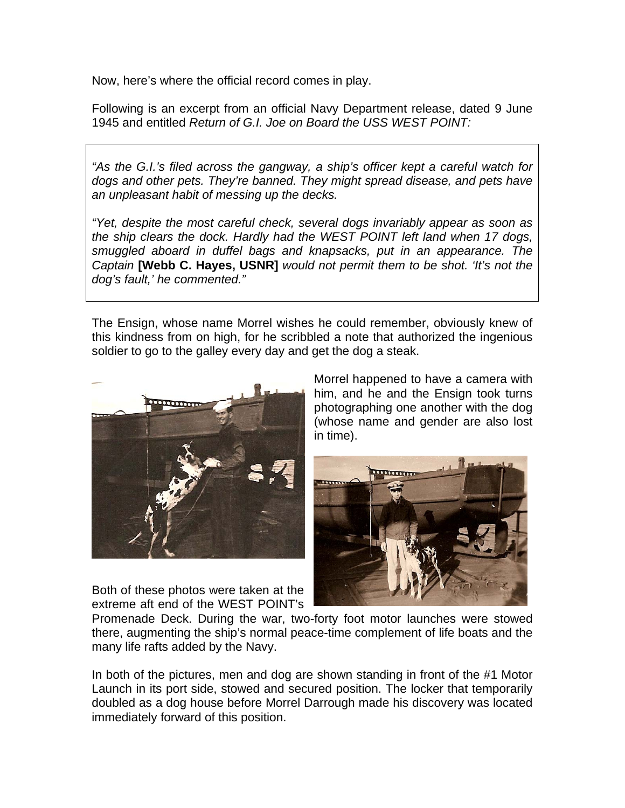Now, here's where the official record comes in play.

Following is an excerpt from an official Navy Department release, dated 9 June 1945 and entitled *Return of G.I. Joe on Board the USS WEST POINT:* 

*"As the G.I.'s filed across the gangway, a ship's officer kept a careful watch for dogs and other pets. They're banned. They might spread disease, and pets have an unpleasant habit of messing up the decks.* 

*"Yet, despite the most careful check, several dogs invariably appear as soon as the ship clears the dock. Hardly had the WEST POINT left land when 17 dogs, smuggled aboard in duffel bags and knapsacks, put in an appearance. The Captain* **[Webb C. Hayes, USNR]** *would not permit them to be shot. 'It's not the dog's fault,' he commented."*

The Ensign, whose name Morrel wishes he could remember, obviously knew of this kindness from on high, for he scribbled a note that authorized the ingenious soldier to go to the galley every day and get the dog a steak.



Both of these photos were taken at the extreme aft end of the WEST POINT's Morrel happened to have a camera with him, and he and the Ensign took turns photographing one another with the dog (whose name and gender are also lost in time).



Promenade Deck. During the war, two-forty foot motor launches were stowed there, augmenting the ship's normal peace-time complement of life boats and the many life rafts added by the Navy.

In both of the pictures, men and dog are shown standing in front of the #1 Motor Launch in its port side, stowed and secured position. The locker that temporarily doubled as a dog house before Morrel Darrough made his discovery was located immediately forward of this position.